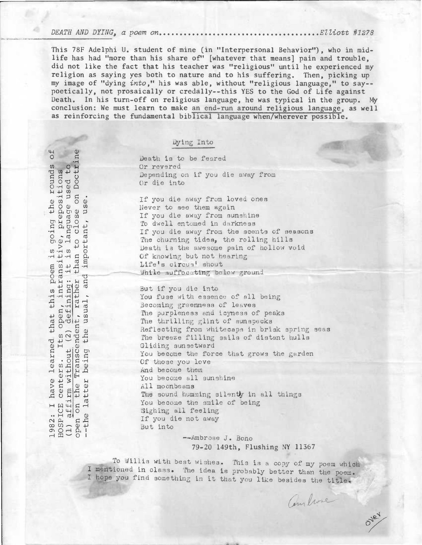DEATH AND DYING, a poem on Elliott #1278

This 78F Adelphi U. student of mine (in "Interpersonal Behavior"), who in midlife has had "more than his share of" [whatever that means] pain and trouble, did not like the fact that his teacher was "religious" until he experienced my religion as saying yes both to nature and to his suffering. Then, picking up my image of "dying into," his was able, without "religious language," to say- poetically, not prosaically or credally--this YES to the God of Life against Death. In his turn-off on religious language, he was typical in the group. My conclusion: We must learn to make an end-run around religious language, as well as reinforcing the fundamental biblical language when/wherever possible.

## Dying Into

Death is to be feared Or revered Depending on if you die away from Or die into Never to see them again

If you die away from loved ones<br>
Never to see them again<br>
If you die away from sunshine<br>
To dwell entomed in darkness<br>
If you die away from the scents<br>
The churning tides, the rolling<br>
Death is the awesome pain of ho<br>
Of k If you die away from sunshine To dwell entomed in darkness If you die away from the scents of seasons The churning tides, the rolling hills Death is the awesome pain of hollow void Of knowing but not hearing Life's circus' shout

While suffocating below ground<br>  $\frac{1}{2}$  But if you die into<br>
You fuse with essence of all h But if you die into You fuse with essence of all being The state of all the second interest of the second interest of the second interest of the second interest of the second interest of the second interest of the second interest of the second interest of the second interest o The purpleness and icyness of peaks The thrilling glint of sunspecks Reflecting from whitecaps in brisk spring seas The breeze filling sails of distant hulls Gliding sunsetward You become the force that grows the garden Of those you love And become them You become all sunshine All moonbeams The sound humming silently in all things You become the smile of being He Hitler and the Soulte of the Soulte of the Soulte of the Soulte of the Soulte of the Soulte of the Soulte of the Soulte of the Soulte of the Soulte of the Soulte of the Soulte of the Soulte of the Soulte of the Soulte o If you die not away<br>But into

--Ambrose J. Bono 79-20 149th, Flushing NY 11367

Combine

OVEY

To Allis with best wishes. This is a copy of my poem which I mentioned in class. The idea is probably better than the poem. I hope you find something in it that you like besides the title.

ounds of<br>.ions<br>ed to<br>Doctrine poem is going the rounds )-0 CI) 4-) 4-1 O -H @ Q • 4-) CI) - H  $\cup$  $O - d$  $\theta$  $H \cdot H$  $\omega$  $\vec{d}$   $\vec{H}$  $\frac{1}{9}$ have learned  $+$  $10$   $\omega$  $m = 1$   $\alpha$  $\frac{1}{2}$ ni w  $\begin{array}{c} \infty \\ \infty \\ \infty \\ \infty \\ \infty \end{array}$   $\begin{array}{c} \infty \\ \infty \\ \infty \\ \infty \end{array}$  But into

•

•